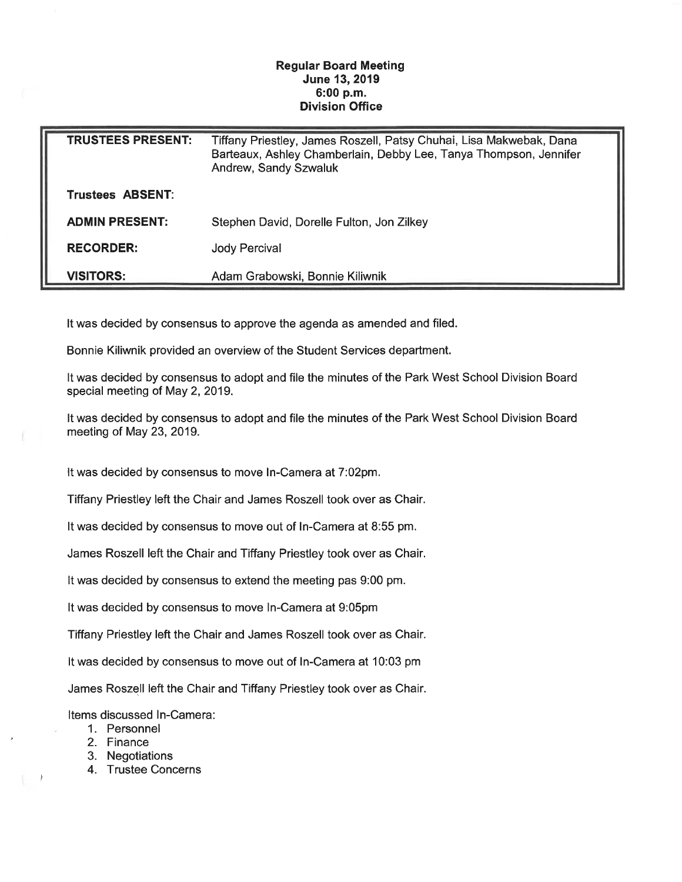## Regular Board Meeting June 13, 2019 6:00 p. m. Division Office

| <b>TRUSTEES PRESENT:</b> | Tiffany Priestley, James Roszell, Patsy Chuhai, Lisa Makwebak, Dana<br>Barteaux, Ashley Chamberlain, Debby Lee, Tanya Thompson, Jennifer<br>Andrew, Sandy Szwaluk |
|--------------------------|-------------------------------------------------------------------------------------------------------------------------------------------------------------------|
| Trustees ABSENT:         |                                                                                                                                                                   |
| <b>ADMIN PRESENT:</b>    | Stephen David, Dorelle Fulton, Jon Zilkey                                                                                                                         |
| <b>RECORDER:</b>         | <b>Jody Percival</b>                                                                                                                                              |
| <b>VISITORS:</b>         | Adam Grabowski, Bonnie Kiliwnik                                                                                                                                   |

It was decided by consensus to approve the agenda as amended and filed.

Bonnie Kiliwnik provided an overview of the Student Services department.

It was decided by consensus to adopt and file the minutes of the Park West School Division Board special meeting of May 2, 2019.

It was decided by consensus to adopt and file the minutes of the Park West School Division Board meeting of May 23, 2019.

It was decided by consensus to move In-Camera at 7:02pm.

Tiffany Priestley left the Chair and James Roszell took over as Chair.

It was decided by consensus to move out of In-Camera at 8:55 pm.

James Roszell left the Chair and Tiffany Priestley took over as Chair.

It was decided by consensus to extend the meeting pas 9:00 pm.

It was decided by consensus to move In-Camera at 9:05pm

Tiffany Priestley left the Chair and James Roszell took over as Chair.

It was decided by consensus to move out of In-Camera at 10:03 pm

James Roszell left the Chair and Tiffany Priestley took over as Chair.

Items discussed In-Camera:

- 1. Personnel
- 2. Finance
- 3. Negotiations
- 4. Trustee Concerns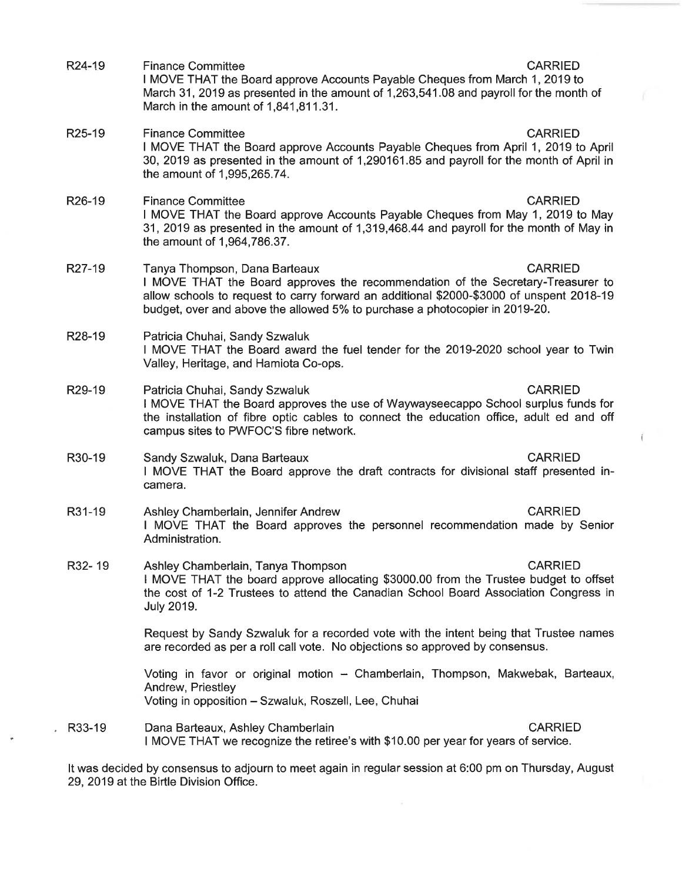| R24-19              | <b>CARRIED</b><br><b>Finance Committee</b><br>I MOVE THAT the Board approve Accounts Payable Cheques from March 1, 2019 to<br>March 31, 2019 as presented in the amount of 1,263,541.08 and payroll for the month of<br>March in the amount of 1,841,811.31.                                                  |
|---------------------|---------------------------------------------------------------------------------------------------------------------------------------------------------------------------------------------------------------------------------------------------------------------------------------------------------------|
| R <sub>25</sub> -19 | <b>Finance Committee</b><br><b>CARRIED</b><br>I MOVE THAT the Board approve Accounts Payable Cheques from April 1, 2019 to April<br>30, 2019 as presented in the amount of 1,290161.85 and payroll for the month of April in<br>the amount of 1,995,265.74.                                                   |
| R <sub>26</sub> -19 | <b>CARRIED</b><br><b>Finance Committee</b><br>I MOVE THAT the Board approve Accounts Payable Cheques from May 1, 2019 to May<br>31, 2019 as presented in the amount of 1,319,468.44 and payroll for the month of May in<br>the amount of 1,964,786.37.                                                        |
| R27-19              | <b>CARRIED</b><br>Tanya Thompson, Dana Barteaux<br>I MOVE THAT the Board approves the recommendation of the Secretary-Treasurer to<br>allow schools to request to carry forward an additional \$2000-\$3000 of unspent 2018-19<br>budget, over and above the allowed 5% to purchase a photocopier in 2019-20. |
| R28-19              | Patricia Chuhai, Sandy Szwaluk<br>I MOVE THAT the Board award the fuel tender for the 2019-2020 school year to Twin<br>Valley, Heritage, and Hamiota Co-ops.                                                                                                                                                  |
| R29-19              | Patricia Chuhai, Sandy Szwaluk<br><b>CARRIED</b><br>I MOVE THAT the Board approves the use of Waywayseecappo School surplus funds for<br>the installation of fibre optic cables to connect the education office, adult ed and off<br>campus sites to PWFOC'S fibre network.                                   |
| R30-19              | <b>CARRIED</b><br>Sandy Szwaluk, Dana Barteaux<br>I MOVE THAT the Board approve the draft contracts for divisional staff presented in-<br>camera.                                                                                                                                                             |
| R31-19              | Ashley Chamberlain, Jennifer Andrew<br><b>CARRIED</b><br>I MOVE THAT the Board approves the personnel recommendation made by Senior<br>Administration.                                                                                                                                                        |
| R32-19              | <b>CARRIED</b><br>Ashley Chamberlain, Tanya Thompson<br>I MOVE THAT the board approve allocating \$3000.00 from the Trustee budget to offset<br>the cost of 1-2 Trustees to attend the Canadian School Board Association Congress in<br><b>July 2019.</b>                                                     |
|                     | Request by Sandy Szwaluk for a recorded vote with the intent being that Trustee names<br>are recorded as per a roll call vote. No objections so approved by consensus.                                                                                                                                        |
|                     | Voting in favor or original motion - Chamberlain, Thompson, Makwebak, Barteaux,<br>Andrew, Priestley<br>Voting in opposition - Szwaluk, Roszell, Lee, Chuhai                                                                                                                                                  |
| R33-19              | <b>CARRIED</b><br>Dana Barteaux, Ashley Chamberlain<br>I MOVE THAT we recognize the retiree's with \$10.00 per year for years of service.                                                                                                                                                                     |

 $\mathfrak{i}$ 

It was decided by consensus to adjourn to meet again in regular session at 6:00 pm on Thursday, August 29, 2019 at the Birtle Division Office.

 $\bar{z}$ 

 $\phi$